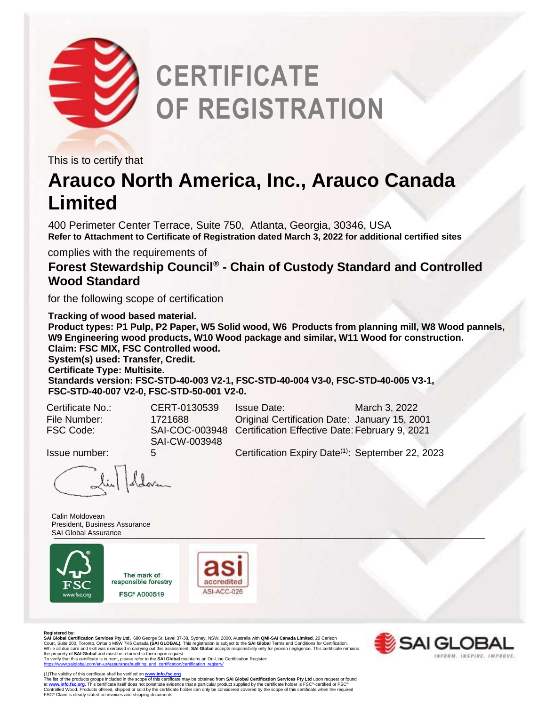

## **CERTIFICATE OF REGISTRATION**

This is to certify that

## **Arauco North America, Inc., Arauco Canada Limited**

400 Perimeter Center Terrace, Suite 750, Atlanta, Georgia, 30346, USA **Refer to Attachment to Certificate of Registration dated March 3, 2022 for additional certified sites**

complies with the requirements of

**Forest Stewardship Council® - Chain of Custody Standard and Controlled Wood Standard** 

for the following scope of certification

**Tracking of wood based material. Product types: P1 Pulp, P2 Paper, W5 Solid wood, W6 Products from planning mill, W8 Wood pannels, W9 Engineering wood products, W10 Wood package and similar, W11 Wood for construction. Claim: FSC MIX, FSC Controlled wood. System(s) used: Transfer, Credit. Certificate Type: Multisite. Standards version: FSC-STD-40-003 V2-1, FSC-STD-40-004 V3-0, FSC-STD-40-005 V3-1, FSC-STD-40-007 V2-0, FSC-STD-50-001 V2-0.** 

SAI-CW-003948

Certificate No.: CERT-0130539 Issue Date: March 3, 2022 File Number: 1721688 Original Certification Date: January 15, 2001 FSC Code: SAI-COC-003948 Certification Effective Date:February 9, 2021

Issue number: 5 Certification Expiry Date(1): September 22, 2023

1 deloven

 $\_$ SAI Global Assurance and the contract of the contract of the contract of the contract of the contract of the contract of the contract of the contract of the contract of the contract of the contract of the contract of th Calin Moldovean President, Business Assurance



The mark of responsible forestry **FSC® A000519** 



**Registered by: SAI Global Certification Services Pty Ltd,** 680 George St, Level 37-38, Sydney, NSW, 2000, Australia with **QMI-SAI Canada Limited**, 20 Carlson Court, Suite 200, Toronto, Ontario M9W 7K6 Canada **(SAI GLOBAL)**. This registration is subject to the **SAI Global** Terms and Conditions for Certification.<br>While all due care and skill was exercised in carrying out this ass SAI GLOBAI

 $\sim$   $\sim$ (1)The validity of this certificate shall be verified on <u>[www.info.fsc.org](http://www.info.fsc.org/)</u><br>The list of the products groups included in the scope of this certificate may be obtained from **SAI Global Certification Services Pty Ltd** upon re FSC® Claim is clearly stated on invoices and shipping documents.